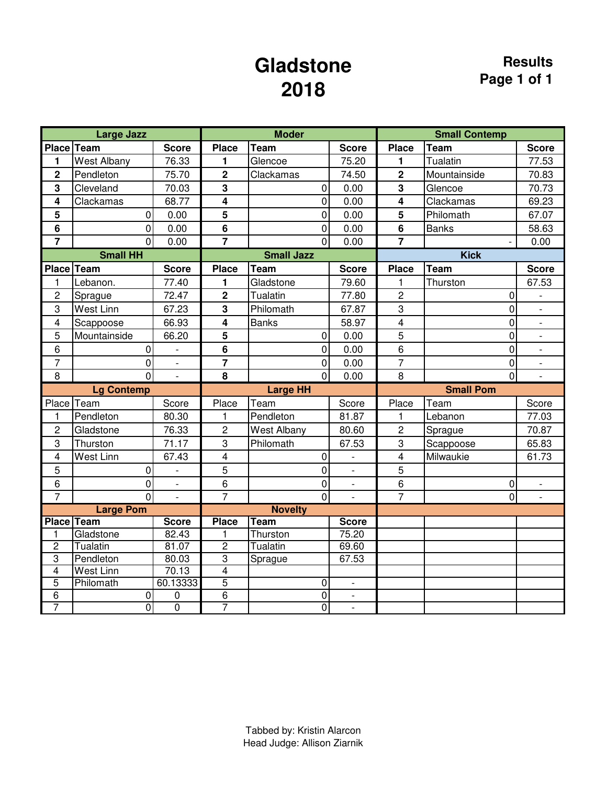## **Gladstone 2018**

|                                  | <b>Large Jazz</b>  |                          |                                  | <b>Moder</b>        |                          |                | <b>Small Contemp</b> |                |
|----------------------------------|--------------------|--------------------------|----------------------------------|---------------------|--------------------------|----------------|----------------------|----------------|
| Place Team                       |                    | <b>Score</b>             | <b>Place</b>                     | <b>Team</b>         | <b>Score</b>             | <b>Place</b>   | <b>Team</b>          | <b>Score</b>   |
| 1                                | <b>West Albany</b> | 76.33                    | 1                                | Glencoe             | 75.20                    | 1              | Tualatin             | 77.53          |
| $\overline{2}$                   | Pendleton          | 75.70                    | $\overline{2}$                   | Clackamas           | 74.50                    | $\overline{2}$ | Mountainside         | 70.83          |
| 3                                | Cleveland          | 70.03                    | 3                                | $\overline{0}$      | 0.00                     | 3              | Glencoe              | 70.73          |
| 4                                | Clackamas          | 68.77                    | 4                                | $\overline{0}$      | 0.00                     | 4              | Clackamas            | 69.23          |
| 5                                | 0                  | 0.00                     | 5                                | $\overline{0}$      | 0.00                     | 5              | Philomath            | 67.07          |
| 6                                | $\overline{0}$     | 0.00                     | 6                                | $\overline{0}$      | 0.00                     | 6              | <b>Banks</b>         | 58.63          |
| $\overline{7}$                   | $\mathbf 0$        | 0.00                     | $\overline{7}$                   | $\overline{0}$      | 0.00                     | $\overline{7}$ |                      | 0.00           |
|                                  | <b>Small HH</b>    |                          |                                  | <b>Small Jazz</b>   |                          |                | <b>Kick</b>          |                |
| <b>Place</b>                     | Team               | <b>Score</b>             | <b>Place</b>                     | <b>Team</b>         | <b>Score</b>             | <b>Place</b>   | <b>Team</b>          | <b>Score</b>   |
| 1                                | Lebanon.           | 77.40                    | 1                                | Gladstone           | 79.60                    | 1              | Thurston             | 67.53          |
| $\overline{c}$                   | Sprague            | 72.47                    | $\overline{\mathbf{2}}$          | <b>Tualatin</b>     | 77.80                    | $\overline{2}$ | 0                    |                |
| 3                                | West Linn          | 67.23                    | $\overline{\mathbf{3}}$          | Philomath           | 67.87                    | $\overline{3}$ | $\overline{0}$       | $\overline{a}$ |
| $\overline{\mathbf{4}}$          | Scappoose          | 66.93                    | $\overline{\mathbf{4}}$          | <b>Banks</b>        | 58.97                    | $\overline{4}$ | 0                    | $\overline{a}$ |
| 5                                | Mountainside       | 66.20                    | 5                                | 0                   | 0.00                     | 5              | 0                    | $\overline{a}$ |
| 6                                | 0                  | $\qquad \qquad -$        | $\bf 6$                          | $\overline{0}$      | 0.00                     | $6\phantom{a}$ | $\mathbf 0$          |                |
| $\overline{7}$                   | $\mathbf 0$        |                          | $\overline{7}$                   | $\overline{0}$      | 0.00                     | $\overline{7}$ | 0                    | ÷,             |
| 8                                | $\overline{0}$     | $\overline{\phantom{a}}$ | 8                                | $\overline{0}$      | 0.00                     | 8              | $\overline{0}$       | $\blacksquare$ |
|                                  | <b>Lg Contemp</b>  |                          |                                  | <b>Large HH</b>     |                          |                | <b>Small Pom</b>     |                |
| Place                            | Team               | Score                    | Place                            | Team                | Score                    | Place          | Team                 | Score          |
| $\mathbf{1}$                     | Pendleton          | 80.30                    | 1                                | Pendleton           | 81.87                    | 1              | Lebanon              | 77.03          |
| $\overline{c}$                   | Gladstone          | 76.33                    | $\overline{c}$                   | <b>West Albany</b>  | 80.60                    | $\overline{c}$ | Sprague              | 70.87          |
| 3                                | Thurston           | 71.17                    | 3                                | Philomath           | 67.53                    | 3              | Scappoose            | 65.83          |
| $\overline{\mathbf{4}}$          | West Linn          | 67.43                    | 4                                | 0                   | $\overline{\phantom{0}}$ | 4              | Milwaukie            | 61.73          |
| 5                                | $\mathbf 0$        | $\overline{a}$           | 5                                | 0                   | $\frac{1}{2}$            | 5              |                      |                |
| 6                                | $\mathbf 0$        | $\frac{1}{2}$            | 6                                | $\overline{0}$      | $\overline{\phantom{a}}$ | 6              | 0                    |                |
| $\overline{7}$                   | $\Omega$           | $\overline{a}$           | $\overline{7}$                   | $\overline{0}$      | $\overline{a}$           | $\overline{7}$ | $\Omega$             |                |
|                                  | <b>Large Pom</b>   |                          |                                  | <b>Novelty</b>      |                          |                |                      |                |
| <b>Place</b>                     | <b>Team</b>        | <b>Score</b>             | <b>Place</b>                     | <b>Team</b>         | <b>Score</b>             |                |                      |                |
| 1                                | Gladstone          | 82.43                    | 1                                | Thurston            | 75.20                    |                |                      |                |
| $\overline{2}$                   | Tualatin           | 81.07                    | $\overline{2}$                   | Tualatin            | 69.60                    |                |                      |                |
| $\overline{3}$                   | Pendleton          | 80.03                    | $\overline{3}$                   | Sprague             | 67.53                    |                |                      |                |
| $\overline{4}$                   | West Linn          | 70.13                    | $\overline{4}$                   |                     |                          |                |                      |                |
| $\overline{5}$<br>$\overline{6}$ | Philomath<br>0     | 60.13333<br>$\mathbf 0$  | $\overline{5}$<br>$\overline{6}$ | 0<br>$\overline{0}$ | $\overline{\phantom{a}}$ |                |                      |                |
| 7                                | $\overline{0}$     | $\overline{0}$           | 7                                | $\overline{0}$      | $\overline{\phantom{a}}$ |                |                      |                |
|                                  |                    |                          |                                  |                     |                          |                |                      |                |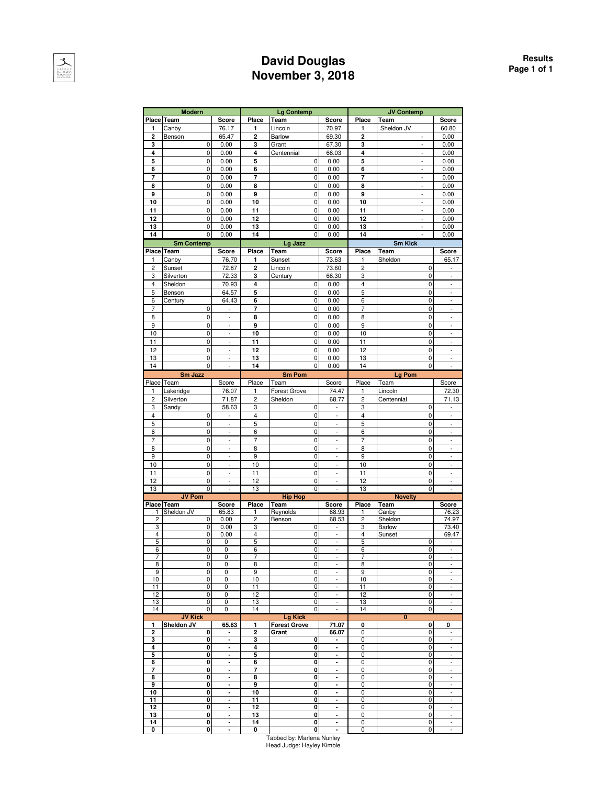

#### **David Douglas November 3, 2018**

|                         | <b>Modern</b>                |                          |                         | <b>Lg Contemp</b>   |                                   |                  | <b>JV Contemp</b>        |                                                                                                                                                                                                                                                                                                                                                                                                                                        |
|-------------------------|------------------------------|--------------------------|-------------------------|---------------------|-----------------------------------|------------------|--------------------------|----------------------------------------------------------------------------------------------------------------------------------------------------------------------------------------------------------------------------------------------------------------------------------------------------------------------------------------------------------------------------------------------------------------------------------------|
|                         | Place Team                   | Score                    | Place                   | Team                | Score                             | Place            | Team                     | Score                                                                                                                                                                                                                                                                                                                                                                                                                                  |
| 1                       | Canby                        | 76.17                    | 1                       | Lincoln             | 70.97                             | 1                | Sheldon JV               | 60.80                                                                                                                                                                                                                                                                                                                                                                                                                                  |
| $\overline{\mathbf{c}}$ | Benson                       | 65.47                    | $\overline{\mathbf{c}}$ | <b>Barlow</b>       | 69.30                             | $\overline{c}$   | ÷                        | 0.00                                                                                                                                                                                                                                                                                                                                                                                                                                   |
|                         |                              |                          |                         |                     |                                   |                  |                          |                                                                                                                                                                                                                                                                                                                                                                                                                                        |
| 3                       | 0                            | 0.00                     | 3                       | Grant               | 67.30                             | 3                |                          | 0.00                                                                                                                                                                                                                                                                                                                                                                                                                                   |
| 4                       | 0                            | 0.00                     | 4                       | Centennial          | 66.03                             | 4                | $\overline{\phantom{a}}$ | 0.00                                                                                                                                                                                                                                                                                                                                                                                                                                   |
| 5                       | 0                            | 0.00                     | 5                       | $\mathbf 0$         | 0.00                              | 5                | $\frac{1}{2}$            | 0.00                                                                                                                                                                                                                                                                                                                                                                                                                                   |
| 6                       | 0                            | 0.00                     | 6                       | $\pmb{0}$           | 0.00                              | 6                | ÷,                       | 0.00                                                                                                                                                                                                                                                                                                                                                                                                                                   |
| 7                       | 0                            | 0.00                     | $\overline{7}$          | $\mathbf 0$         | 0.00                              | 7                | $\overline{a}$           | 0.00                                                                                                                                                                                                                                                                                                                                                                                                                                   |
| 8                       | 0                            | 0.00                     | 8                       | $\pmb{0}$           | 0.00                              | 8                | $\overline{\phantom{a}}$ | 0.00                                                                                                                                                                                                                                                                                                                                                                                                                                   |
| 9                       | 0                            | 0.00                     | 9                       | 0                   | 0.00                              | 9                | $\overline{a}$           | 0.00                                                                                                                                                                                                                                                                                                                                                                                                                                   |
| 10                      | 0                            | 0.00                     | 10                      | 0                   | 0.00                              | 10               | ÷,                       | 0.00                                                                                                                                                                                                                                                                                                                                                                                                                                   |
| 11                      | 0                            | 0.00                     | 11                      | $\mathbf 0$         |                                   | 11               | $\overline{a}$           | 0.00                                                                                                                                                                                                                                                                                                                                                                                                                                   |
|                         |                              |                          |                         |                     | 0.00                              |                  |                          |                                                                                                                                                                                                                                                                                                                                                                                                                                        |
| 12                      | 0                            | 0.00                     | 12                      | 0                   | 0.00                              | 12               | L.                       | 0.00                                                                                                                                                                                                                                                                                                                                                                                                                                   |
| 13                      | 0                            | 0.00                     | 13                      | 0                   | 0.00                              | 13               | ÷,                       | 0.00                                                                                                                                                                                                                                                                                                                                                                                                                                   |
| 14                      | 0                            | 0.00                     | 14                      | 0                   | 0.00                              | 14               |                          | 0.00                                                                                                                                                                                                                                                                                                                                                                                                                                   |
|                         | <b>Sm Contemp</b>            |                          |                         | Lg Jazz             |                                   |                  | <b>Sm Kick</b>           |                                                                                                                                                                                                                                                                                                                                                                                                                                        |
|                         | Place Team                   | Score                    | Place                   | Team                | Score                             | Place            | Team                     | Score                                                                                                                                                                                                                                                                                                                                                                                                                                  |
| 1                       | Canby                        | 76.70                    | 1                       | Sunset              | 73.63                             | 1                | Sheldon                  | 65.17                                                                                                                                                                                                                                                                                                                                                                                                                                  |
| 2                       | Sunset                       | 72.87                    | $\overline{\mathbf{2}}$ | Lincoln             | 73.60                             | $\overline{c}$   | 0                        |                                                                                                                                                                                                                                                                                                                                                                                                                                        |
|                         |                              | $72.\overline{33}$       |                         |                     |                                   |                  | 0                        |                                                                                                                                                                                                                                                                                                                                                                                                                                        |
| 3                       | Silverton                    |                          | 3                       | Century             | 66.30                             | 3                |                          |                                                                                                                                                                                                                                                                                                                                                                                                                                        |
| 4                       | Sheldon                      | 70.93                    | 4                       | 0                   | 0.00                              | 4                | 0                        | $\overline{a}$                                                                                                                                                                                                                                                                                                                                                                                                                         |
| 5                       | Benson                       | 64.57                    | 5                       | 0                   | 0.00                              | 5                | 0                        | $\overline{a}$                                                                                                                                                                                                                                                                                                                                                                                                                         |
| 6                       | Century                      | 64.43                    | 6                       | 0                   | 0.00                              | 6                | 0                        | $\blacksquare$                                                                                                                                                                                                                                                                                                                                                                                                                         |
| 7                       | 0                            | ÷                        | 7                       | $\mathbf 0$         | 0.00                              | $\overline{7}$   | 0                        | ÷                                                                                                                                                                                                                                                                                                                                                                                                                                      |
| 8                       | $\mathbf 0$                  | ÷,                       | 8                       | $\mathbf 0$         | 0.00                              | 8                | $\mathbf 0$              | $\overline{a}$                                                                                                                                                                                                                                                                                                                                                                                                                         |
| 9                       | 0                            | $\overline{\phantom{a}}$ | 9                       | 0                   | 0.00                              | 9                | 0                        | $\overline{a}$                                                                                                                                                                                                                                                                                                                                                                                                                         |
| 10                      | 0                            | $\blacksquare$           | 10                      | $\mathbf 0$         | 0.00                              | 10               | 0                        | $\frac{1}{2}$                                                                                                                                                                                                                                                                                                                                                                                                                          |
|                         |                              |                          |                         |                     |                                   |                  |                          |                                                                                                                                                                                                                                                                                                                                                                                                                                        |
| 11                      | 0                            | $\overline{a}$           | 11                      | $\mathbf 0$         | 0.00                              | 11               | 0                        | ÷,                                                                                                                                                                                                                                                                                                                                                                                                                                     |
| 12                      | 0                            | $\overline{a}$           | 12                      | $\mathbf 0$         | 0.00                              | 12               | 0                        | $\overline{a}$                                                                                                                                                                                                                                                                                                                                                                                                                         |
| 13                      | 0                            | $\overline{\phantom{a}}$ | 13                      | $\pmb{0}$           | 0.00                              | 13               | 0                        | $\overline{\phantom{a}}$                                                                                                                                                                                                                                                                                                                                                                                                               |
| 14                      | 0                            |                          | 14                      | 0                   | 0.00                              | 14               | 0                        | $\overline{a}$                                                                                                                                                                                                                                                                                                                                                                                                                         |
|                         | Sm Jazz                      |                          |                         | <b>Sm Pom</b>       |                                   |                  | Lg Pom                   |                                                                                                                                                                                                                                                                                                                                                                                                                                        |
|                         | Place Team                   | Score                    | Place                   | Team                | Score                             | Place            | Team                     | Score                                                                                                                                                                                                                                                                                                                                                                                                                                  |
| 1                       | Lakeridge                    | 76.07                    | 1                       | <b>Forest Grove</b> | 74.47                             | 1                | Lincoln                  | 72.30                                                                                                                                                                                                                                                                                                                                                                                                                                  |
| $\overline{c}$          |                              | 71.87                    | $\overline{c}$          |                     |                                   | $\overline{c}$   |                          | 71.13                                                                                                                                                                                                                                                                                                                                                                                                                                  |
|                         | Silverton                    |                          |                         | Sheldon             | 68.77                             |                  | Centennial               |                                                                                                                                                                                                                                                                                                                                                                                                                                        |
| 3                       | Sandy                        | 58.63                    | 3                       | 0                   | $\overline{\phantom{a}}$          | 3                | 0                        | $\overline{\phantom{a}}$                                                                                                                                                                                                                                                                                                                                                                                                               |
| 4                       | 0                            |                          | 4                       | 0                   | $\overline{\phantom{a}}$          | 4                | 0                        | $\overline{a}$                                                                                                                                                                                                                                                                                                                                                                                                                         |
| 5                       | 0                            | ÷,                       | 5                       | 0                   | $\Box$                            | 5                | 0                        | $\sim$                                                                                                                                                                                                                                                                                                                                                                                                                                 |
| 6                       | 0                            | ÷,                       | 6                       | 0                   | $\Box$                            | 6                | 0                        | ÷,                                                                                                                                                                                                                                                                                                                                                                                                                                     |
| 7                       | 0                            | $\overline{\phantom{a}}$ | $\overline{7}$          | $\mathbf 0$         | $\overline{\phantom{a}}$          | $\overline{7}$   | 0                        | $\omega$                                                                                                                                                                                                                                                                                                                                                                                                                               |
|                         |                              |                          |                         |                     |                                   |                  |                          |                                                                                                                                                                                                                                                                                                                                                                                                                                        |
|                         |                              |                          |                         |                     |                                   |                  |                          |                                                                                                                                                                                                                                                                                                                                                                                                                                        |
| 8                       | 0                            | -                        | 8                       | 0                   | $\overline{\phantom{a}}$          | 8                | 0                        |                                                                                                                                                                                                                                                                                                                                                                                                                                        |
| 9                       | 0                            | $\overline{a}$           | 9                       | $\mathbf 0$         | ÷,                                | 9                | 0                        | $\overline{a}$                                                                                                                                                                                                                                                                                                                                                                                                                         |
| 10                      | 0                            | $\frac{1}{2}$            | 10                      | $\mathbf 0$         | $\overline{\phantom{a}}$          | 10               | $\mathbf 0$              | $\frac{1}{2}$                                                                                                                                                                                                                                                                                                                                                                                                                          |
| 11                      | 0                            | $\overline{\phantom{a}}$ | 11                      | 0                   | $\overline{\phantom{a}}$          | 11               | 0                        | $\blacksquare$                                                                                                                                                                                                                                                                                                                                                                                                                         |
| 12                      | 0                            | -                        | 12                      | $\mathbf 0$         | ÷,                                | 12               | 0                        |                                                                                                                                                                                                                                                                                                                                                                                                                                        |
| 13                      | 0                            | $\overline{\phantom{a}}$ | 13                      | 0                   | $\overline{\phantom{a}}$          | 13               | 0                        | $\Box$                                                                                                                                                                                                                                                                                                                                                                                                                                 |
|                         | <b>JV Pom</b>                |                          |                         | <b>Hip Hop</b>      |                                   |                  | <b>Novelty</b>           |                                                                                                                                                                                                                                                                                                                                                                                                                                        |
|                         | Place Team                   | Score                    | Place                   | Team                | Score                             | Place            | Team                     | Score                                                                                                                                                                                                                                                                                                                                                                                                                                  |
| 1                       | Sheldon JV                   | 65.83                    | 1                       | Reynolds            | 68.93                             | 1                | Canby                    | 76.23                                                                                                                                                                                                                                                                                                                                                                                                                                  |
| $\overline{c}$          | 0                            | 0.00                     | $\overline{c}$          | Benson              | 68.53                             | $\overline{c}$   | Sheldon                  | 74.97                                                                                                                                                                                                                                                                                                                                                                                                                                  |
| 3                       | 0                            | 0.00                     | 3                       | 0                   | $\overline{\phantom{a}}$          | 3                | <b>Barlow</b>            | 73.40                                                                                                                                                                                                                                                                                                                                                                                                                                  |
| 4                       | 0                            | 0.00                     | 4                       | 0                   | $\overline{\phantom{a}}$          | 4                | Sunset                   | 69.47                                                                                                                                                                                                                                                                                                                                                                                                                                  |
| 5                       | 0                            | 0                        | 5                       | 0                   | $\overline{\phantom{a}}$          | 5                | 0                        | $\blacksquare$                                                                                                                                                                                                                                                                                                                                                                                                                         |
|                         | 0                            |                          |                         |                     |                                   | о                | 0                        |                                                                                                                                                                                                                                                                                                                                                                                                                                        |
| 7                       | 0                            | 0                        | 7                       | 0                   | $\overline{\phantom{a}}$          | 7                | 0                        | $\sim$                                                                                                                                                                                                                                                                                                                                                                                                                                 |
| 8                       | 0                            | 0                        | 8                       | 0                   | $\overline{\phantom{a}}$          | 8                | 0                        | ÷.                                                                                                                                                                                                                                                                                                                                                                                                                                     |
| 9                       | 0                            | 0                        | 9                       | 0                   | $\overline{\phantom{a}}$          | 9                | 0                        | $\sim$                                                                                                                                                                                                                                                                                                                                                                                                                                 |
| 10                      | 0                            | 0                        | 10                      | 0                   | $\overline{\phantom{a}}$          | 10               | 0                        | ÷                                                                                                                                                                                                                                                                                                                                                                                                                                      |
| 11                      | 0                            | 0                        | 11                      | 0                   | $\overline{\phantom{a}}$          | 11               | 0                        | $\blacksquare$                                                                                                                                                                                                                                                                                                                                                                                                                         |
| 12                      | 0                            | 0                        | $\overline{12}$         |                     | $\overline{\phantom{a}}$          | $\overline{12}$  | 0                        | $\frac{1}{2} \int_{0}^{2\pi} \frac{1}{2} \left( \frac{1}{2} \frac{1}{2} \right) \left( \frac{1}{2} \frac{1}{2} \right) \left( \frac{1}{2} \frac{1}{2} \right) \left( \frac{1}{2} \frac{1}{2} \right) \left( \frac{1}{2} \frac{1}{2} \right) \left( \frac{1}{2} \frac{1}{2} \right) \left( \frac{1}{2} \frac{1}{2} \right) \left( \frac{1}{2} \frac{1}{2} \right) \left( \frac{1}{2} \frac{1}{2} \right) \left( \frac{1}{2} \frac{1}{2$ |
|                         |                              |                          |                         | $\overline{0}$      | $\overline{\phantom{a}}$          |                  |                          | ÷,                                                                                                                                                                                                                                                                                                                                                                                                                                     |
| 13<br>14                | 0<br>0                       | 0<br>0                   | 13<br>14                | $\pmb{0}$<br>0      |                                   | 13<br>14         | 0<br>0                   | ÷,                                                                                                                                                                                                                                                                                                                                                                                                                                     |
|                         |                              |                          |                         |                     |                                   |                  |                          |                                                                                                                                                                                                                                                                                                                                                                                                                                        |
| 1                       | <b>JV Kick</b><br>Sheldon JV |                          |                         | <b>Lg Kick</b>      |                                   | 0                | 0                        | 0                                                                                                                                                                                                                                                                                                                                                                                                                                      |
|                         |                              | 65.83<br>٠               | 1                       | <b>Forest Grove</b> | 71.07                             |                  | 0                        |                                                                                                                                                                                                                                                                                                                                                                                                                                        |
| $\overline{\mathbf{c}}$ | 0                            | $\overline{\phantom{a}}$ | $\overline{2}$          | Grant               | 66.07<br>$\overline{\phantom{a}}$ | 0                | 0                        | ÷,                                                                                                                                                                                                                                                                                                                                                                                                                                     |
| 3                       | 0                            | ä,                       | 3                       | 0                   | $\overline{\phantom{a}}$          | 0                | 0                        | ÷,                                                                                                                                                                                                                                                                                                                                                                                                                                     |
| 4                       | 0                            |                          | 4                       | 0                   |                                   | 0                | 0                        |                                                                                                                                                                                                                                                                                                                                                                                                                                        |
| 5                       | 0                            | $\blacksquare$           | 5                       | 0                   | $\overline{\phantom{a}}$          | 0                | 0                        | $\overline{\phantom{a}}$<br>$\overline{a}$                                                                                                                                                                                                                                                                                                                                                                                             |
| 6                       | 0                            | ä,                       | 6                       | 0                   | ä,                                | 0                | 0                        |                                                                                                                                                                                                                                                                                                                                                                                                                                        |
| $\overline{7}$          | 0                            | ٠                        | 7                       | 0                   | ٠                                 | 0                | 0                        | $\frac{1}{2}$                                                                                                                                                                                                                                                                                                                                                                                                                          |
| 8                       | 0                            | $\blacksquare$           | 8                       | 0                   | $\blacksquare$                    | 0                | 0                        | $\overline{a}$                                                                                                                                                                                                                                                                                                                                                                                                                         |
| 9                       | 0                            | ٠                        | 9                       | 0                   | $\blacksquare$                    | 0                | 0                        | $\frac{1}{2}$                                                                                                                                                                                                                                                                                                                                                                                                                          |
| 10                      | 0                            | ٠                        | 10                      | 0                   | $\blacksquare$                    | 0                | 0                        | $\overline{\phantom{a}}$                                                                                                                                                                                                                                                                                                                                                                                                               |
| 11                      | 0                            | $\blacksquare$           | 11                      | 0                   | $\blacksquare$                    | 0                | 0                        | $\mathcal{L}_{\mathcal{A}}$                                                                                                                                                                                                                                                                                                                                                                                                            |
| 12                      | 0                            | $\blacksquare$           | 12                      | 0                   | $\overline{\phantom{a}}$          | 0                | 0                        | $\blacksquare$                                                                                                                                                                                                                                                                                                                                                                                                                         |
| 13                      | 0                            | $\blacksquare$           | 13                      | 0                   | $\blacksquare$                    | 0                | 0                        | $\mathcal{L}_{\mathcal{A}}$                                                                                                                                                                                                                                                                                                                                                                                                            |
| 14<br>0                 | 0<br>0                       | ٠<br>×,                  | 14<br>0                 | 0<br>0              | $\blacksquare$<br>×,              | 0<br>$\mathbf 0$ | 0<br>0                   | ÷<br>$\omega$                                                                                                                                                                                                                                                                                                                                                                                                                          |

Tabbed by: Marlena Nunley Head Judge: Hayley Kimble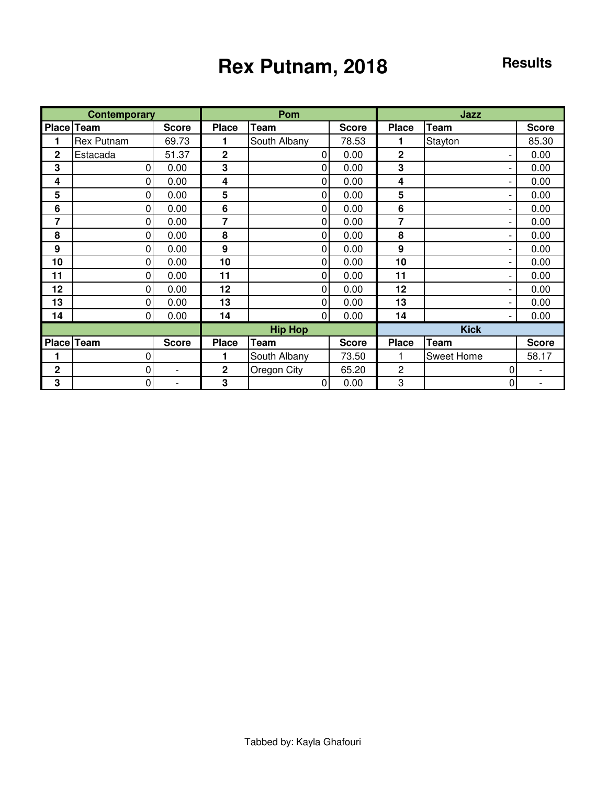# Rex Putnam, 2018<br>Results

|              | <b>Contemporary</b> |                          |                | Pom            |              |                  | Jazz        |              |
|--------------|---------------------|--------------------------|----------------|----------------|--------------|------------------|-------------|--------------|
| Place        | Team                | <b>Score</b>             | <b>Place</b>   | Team           | <b>Score</b> | <b>Place</b>     | Team        | <b>Score</b> |
|              | <b>Rex Putnam</b>   | 69.73                    | 1              | South Albany   | 78.53        | 1                | Stayton     | 85.30        |
| $\mathbf{2}$ | Estacada            | 51.37                    | $\overline{2}$ | $\Omega$       | 0.00         | $\overline{2}$   |             | 0.00         |
| 3            | $\Omega$            | 0.00                     | 3              | $\overline{0}$ | 0.00         | 3                |             | 0.00         |
| 4            | 0                   | 0.00                     | 4              | 0              | 0.00         | 4                |             | 0.00         |
| 5            | 0                   | 0.00                     | 5              | $\overline{0}$ | 0.00         | 5                |             | 0.00         |
| 6            | 0                   | 0.00                     | 6              | $\Omega$       | 0.00         | 6                |             | 0.00         |
| 7            | 0                   | 0.00                     | 7              | $\overline{0}$ | 0.00         | 7                |             | 0.00         |
| 8            | 0                   | 0.00                     | 8              | $\overline{0}$ | 0.00         | 8                |             | 0.00         |
| 9            | $\overline{0}$      | 0.00                     | 9              | $\overline{0}$ | 0.00         | $\boldsymbol{9}$ |             | 0.00         |
| 10           | $\Omega$            | 0.00                     | 10             | $\overline{0}$ | 0.00         | 10               |             | 0.00         |
| 11           | 0                   | 0.00                     | 11             | $\overline{0}$ | 0.00         | 11               |             | 0.00         |
| 12           | 0                   | 0.00                     | 12             | 0              | 0.00         | 12               |             | 0.00         |
| 13           | $\Omega$            | 0.00                     | 13             | $\overline{0}$ | 0.00         | 13               |             | 0.00         |
| 14           | $\overline{0}$      | 0.00                     | 14             | $\overline{0}$ | 0.00         | 14               |             | 0.00         |
|              |                     |                          |                | <b>Hip Hop</b> |              |                  | <b>Kick</b> |              |
|              | Place Team          | <b>Score</b>             | <b>Place</b>   | <b>Team</b>    | <b>Score</b> | <b>Place</b>     | Team        | <b>Score</b> |
| 1            | 0                   |                          | 1              | South Albany   | 73.50        |                  | Sweet Home  | 58.17        |
| $\mathbf{2}$ | 0                   | $\overline{\phantom{a}}$ | $\mathbf 2$    | Oregon City    | 65.20        | $\overline{c}$   | 0           |              |
| 3            | 0                   |                          | 3              | $\overline{0}$ | 0.00         | 3                | 0           |              |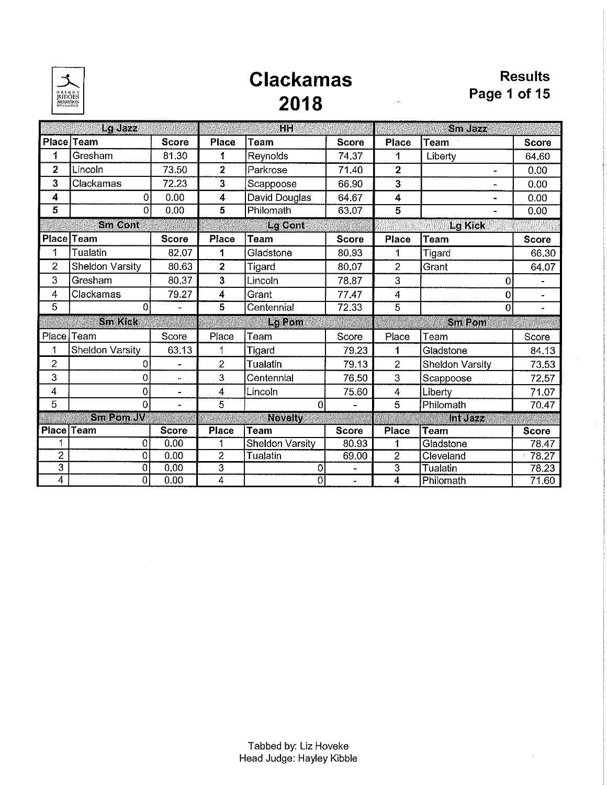

## **Clackamas** 2018

|                         | Lg Jazz          |                      |                         | <b>HH</b>              |              |                | Sm dazz                  |                          |
|-------------------------|------------------|----------------------|-------------------------|------------------------|--------------|----------------|--------------------------|--------------------------|
|                         | Place Team       | <b>Score</b>         | <b>Place</b>            | Team                   | <b>Score</b> | Place          | Team                     | <b>Score</b>             |
| 1                       | Gresham          | 81.30                | 1                       | Reynolds               | 74,37        | 1              | Liberty                  | 64,60                    |
| $\overline{2}$          | Lincoln          | 73.50                | $\overline{2}$          | Parkrose               | 71.40        | $\overline{2}$ | $\overline{\phantom{0}}$ | 0.00                     |
| 3                       | Clackamas        | 72.23                | 3                       | Scappoose              | 66.90        | 3              |                          | 0.00                     |
| 4                       | 0                | 0.00                 | 4                       | David Douglas          | 64.67        | 4              |                          | 0.00                     |
| 5                       | $\Omega$         | 0.00                 | $\overline{5}$          | Philomath              | 63.07        | $\overline{5}$ | $\blacksquare$           | 0.00                     |
|                         | <b>Sm Cont</b>   |                      |                         | <b>Lg Cont</b>         |              |                | <b>Lg Kick</b>           |                          |
|                         | Place Team       | <b>Score</b>         | Place                   | <b>Team</b>            | <b>Score</b> | <b>Place</b>   | <b>Team</b>              | <b>Score</b>             |
| 1                       | Tualatin         | 82.07                | 1                       | Gladstone              | 80.93        | 1              | Tigard                   | 66,30                    |
| $\overline{2}$          | Sheldon Varsity  | 80.63                | $\overline{\mathbf{z}}$ | Tigard                 | 80.07        | $\overline{c}$ | Grant                    | 64.07                    |
| 3                       | Gresham          | 80.37                | 3                       | Lincoln                | 78.87        | 3              | 0                        |                          |
| 4                       | Clackamas        | 79.27                | 4                       | Grant                  | 77.47        | $\overline{4}$ | 0                        |                          |
| 5                       | $\theta$         | ÷.                   | 5                       | Centennial             | 72.33        | $\overline{5}$ | $\mathbf{0}$             | $\overline{\phantom{0}}$ |
|                         | <b>Sm Kick</b>   |                      |                         | La Pom                 |              |                | <b>Sm Pom</b>            |                          |
| Place                   | Team             | Score                | Place                   | Team                   | Score        | Place          | Team                     | Score                    |
| 1                       | Sheldon Varsity  | 63.13                | 1                       | Tigard                 | 79.23        | 1              | Gladstone                | 84.13                    |
| 2                       | 0                | ÷.                   | $\overline{2}$          | Tualatin               | 79.13        | $\overline{2}$ | Sheldon Varsity          | 73.53                    |
| 3                       | $\mathbf 0$      | $\ddot{\phantom{1}}$ | 3                       | Centennial             | 76.50        | 3              | Scappoose                | 72.57                    |
| $\overline{\mathbf{4}}$ | 0                | $\blacksquare$       | 4                       | Lincoln                | 75.60        | 4              | Liberty                  | 71.07                    |
| 5                       | 0                | $\blacksquare$       | 5                       | 0                      |              | 5              | Philomath                | 70.47                    |
|                         | <b>Sm Pom JV</b> |                      |                         | <b>Novelty</b>         |              |                | Int Jazz                 |                          |
| <b>Place Team</b>       |                  | <b>Score</b>         | <b>Place</b>            | Team                   | <b>Score</b> | <b>Place</b>   | Team                     | <b>Score</b>             |
| 1                       | 0                | 0.00                 | 1                       | <b>Sheldon Varsity</b> | 80.93        | 1              | Gladstone                | 78.47                    |
| $\overline{2}$          | $\overline{0}$   | 0.00                 | $\overline{2}$          | Tualatin               | 69.00        | $\overline{2}$ | Cleveland                | 78,27                    |
| $\overline{3}$          | 0                | 0.00                 | $\overline{\mathbf{3}}$ | 0                      |              | $\overline{3}$ | Tualatin                 | 78.23                    |
| $\overline{4}$          | $\overline{0}$   | 0.00                 | 4                       | $\overline{0}$         | ×.           | $\overline{4}$ | Philomath                | 71.60                    |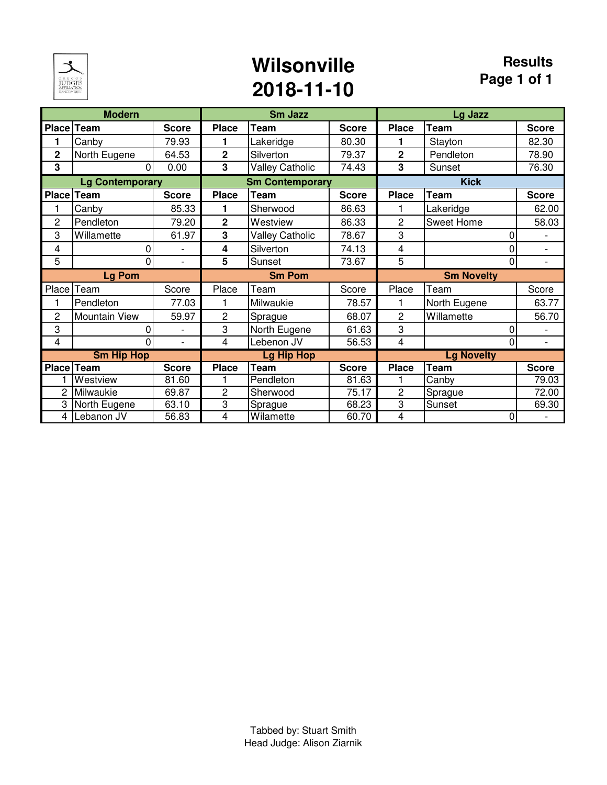

### **Wilsonville 2018-11-10**

|                | <b>Modern</b>          |                          |                | <b>Sm Jazz</b>         |              |                | Lg Jazz                     |                          |
|----------------|------------------------|--------------------------|----------------|------------------------|--------------|----------------|-----------------------------|--------------------------|
| Place Team     |                        | <b>Score</b>             | <b>Place</b>   | <b>Team</b>            | <b>Score</b> | <b>Place</b>   | <b>Team</b>                 | <b>Score</b>             |
| 1              | Canby                  | 79.93                    | 1              | Lakeridge              | 80.30        | 1              | Stayton                     | 82.30                    |
| $\overline{2}$ | North Eugene           | 64.53                    | $\overline{2}$ | Silverton              | 79.37        | $\overline{2}$ | Pendleton                   | 78.90                    |
| 3              | 0                      | 0.00                     | 3              | <b>Valley Catholic</b> | 74.43        | 3              | Sunset                      | 76.30                    |
|                | <b>Lg Contemporary</b> |                          |                | <b>Sm Contemporary</b> |              |                | <b>Kick</b>                 |                          |
| <b>Place</b>   | Team                   | <b>Score</b>             | <b>Place</b>   | <b>Team</b>            | <b>Score</b> | <b>Place</b>   | <b>Team</b>                 | <b>Score</b>             |
|                | Canby                  | 85.33                    | 1              | Sherwood               | 86.63        |                | Lakeridge                   | 62.00                    |
| 2              | Pendleton              | 79.20                    | $\overline{2}$ | Westview               | 86.33        | $\overline{2}$ | Sweet Home                  | 58.03                    |
| 3              | Willamette             | 61.97                    | 3              | <b>Valley Catholic</b> | 78.67        | 3              | 0                           |                          |
| 4              | 0                      | $\overline{\phantom{a}}$ | 4              | Silverton              | 74.13        | 4              | 0                           | $\overline{\phantom{a}}$ |
| 5              | $\Omega$               | $\overline{\phantom{0}}$ | 5              | Sunset                 | 73.67        | 5              | 0                           | $\overline{\phantom{a}}$ |
|                | <b>Lg Pom</b>          |                          | <b>Sm Pom</b>  |                        |              |                | <b>Sm Novelty</b>           |                          |
| Place          | Team                   | Score                    | Place          | Team                   | Score        | Place          | Team                        | Score                    |
|                | Pendleton              | 77.03                    |                | Milwaukie              | 78.57        |                | North Eugene                | 63.77                    |
| $\overline{c}$ | Mountain View          | 59.97                    | $\overline{c}$ | Sprague                | 68.07        | $\overline{2}$ | Willamette                  | 56.70                    |
| 3              | 0                      |                          | 3              | North Eugene           | 61.63        | 3              | 0                           |                          |
| 4              | 0                      | $\overline{\phantom{0}}$ | 4              | Lebenon JV             | 56.53        | 4              | 0                           | $\overline{\phantom{a}}$ |
|                | <b>Sm Hip Hop</b>      |                          |                | <b>Lg Hip Hop</b>      |              |                | <b>Lg Novelty</b>           |                          |
| Place          | <b>Team</b>            | <b>Score</b>             | <b>Place</b>   | <b>Team</b>            | <b>Score</b> | <b>Place</b>   | $\overline{\mathsf{T}}$ eam | <b>Score</b>             |
|                | Westview               | 81.60                    |                | Pendleton              | 81.63        |                | Canby                       | 79.03                    |
| 2              | Milwaukie              | 69.87                    | 2              | Sherwood               | 75.17        | $\overline{2}$ | Sprague                     | 72.00                    |
| 3              | North Eugene           | 63.10                    | 3              | Sprague                | 68.23        | 3              | Sunset                      | 69.30                    |
| 4              | Lebanon JV             | 56.83                    | 4              | Wilamette              | 60.70        | 4              | 0                           |                          |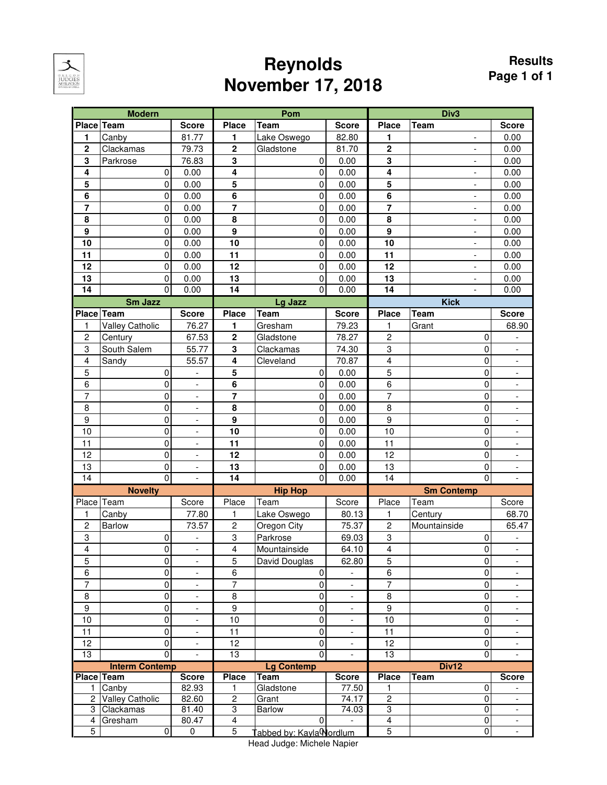

### **Reynolds November 17, 2018**

|                | <b>Modern</b>          |                          |                         | Pom                     |                          |                | Div <sub>3</sub>         |                              |
|----------------|------------------------|--------------------------|-------------------------|-------------------------|--------------------------|----------------|--------------------------|------------------------------|
| Place Team     |                        | <b>Score</b>             | <b>Place</b>            | <b>Team</b>             | <b>Score</b>             | <b>Place</b>   | <b>Team</b>              | <b>Score</b>                 |
| 1              | Canby                  | 81.77                    | 1                       | Lake Oswego             | 82.80                    | 1              |                          | 0.00                         |
| $\overline{2}$ | Clackamas              | 79.73                    | $\mathbf 2$             | Gladstone               | 81.70                    | $\overline{2}$ |                          | 0.00                         |
| 3              | Parkrose               | 76.83                    | 3                       | 0                       | 0.00                     | 3              | $\overline{a}$           | 0.00                         |
| 4              | 0                      | 0.00                     | $\overline{\mathbf{4}}$ | $\mathbf 0$             | 0.00                     | 4              | $\overline{a}$           | 0.00                         |
| 5              | 0                      | 0.00                     | 5                       | $\mathbf 0$             | 0.00                     | 5              | $\overline{a}$           | 0.00                         |
| $\overline{6}$ | 0                      | 0.00                     | 6                       | $\mathbf 0$             | 0.00                     | $\overline{6}$ | $\overline{a}$           | 0.00                         |
| $\overline{7}$ | 0                      | 0.00                     | 7                       | $\pmb{0}$               | 0.00                     | $\overline{7}$ | $\overline{\phantom{a}}$ | 0.00                         |
| 8              | 0                      | 0.00                     | 8                       | $\pmb{0}$               | 0.00                     | 8              | $\overline{\phantom{a}}$ | 0.00                         |
| 9              | 0                      | 0.00                     | $\mathbf{9}$            | $\pmb{0}$               | 0.00                     | 9              | $\overline{\phantom{a}}$ | 0.00                         |
| 10             | 0                      | 0.00                     | 10                      | $\pmb{0}$               | 0.00                     | 10             | $\overline{\phantom{a}}$ | 0.00                         |
| 11             | 0                      | 0.00                     | 11                      | 0                       | 0.00                     | 11             | $\overline{\phantom{a}}$ | 0.00                         |
| 12             | 0                      | 0.00                     | 12                      | $\pmb{0}$               | 0.00                     | 12             | $\overline{\phantom{0}}$ | 0.00                         |
| 13             | 0                      | 0.00                     | 13                      | $\pmb{0}$               | 0.00                     | 13             | $\overline{\phantom{a}}$ | 0.00                         |
| 14             | $\Omega$               | 0.00                     | 14                      | $\overline{0}$          | 0.00                     | 14             |                          | 0.00                         |
|                | Sm Jazz                |                          |                         | Lg Jazz                 |                          |                | <b>Kick</b>              |                              |
| Place Team     |                        | <b>Score</b>             | <b>Place</b>            | <b>Team</b>             | <b>Score</b>             | <b>Place</b>   | <b>Team</b>              | <b>Score</b>                 |
| 1              | <b>Valley Catholic</b> | 76.27                    | 1                       | Gresham                 | 79.23                    | 1              | Grant                    | 68.90                        |
| $\overline{c}$ | Century                | 67.53                    | $\overline{\mathbf{c}}$ | Gladstone               | 78.27                    | $\overline{c}$ | $\mathbf 0$              |                              |
| 3              | South Salem            | 55.77                    | 3                       | Clackamas               | 74.30                    | 3              | $\mathbf 0$              | $\overline{a}$               |
| 4              | Sandy                  | 55.57                    | 4                       | Cleveland               | 70.87                    | 4              | 0                        | $\overline{\phantom{0}}$     |
| 5              | 0                      | $\frac{1}{2}$            | 5                       | 0                       | 0.00                     | 5              | $\Omega$                 | $\overline{\phantom{0}}$     |
| 6              | 0                      | $\frac{1}{2}$            | 6                       | 0                       | 0.00                     | 6              | 0                        | $\overline{\phantom{0}}$     |
| $\overline{7}$ | 0                      | $\frac{1}{2}$            | $\overline{7}$          | $\pmb{0}$               | 0.00                     | $\overline{7}$ | 0                        | $\overline{\phantom{0}}$     |
| 8              | $\pmb{0}$              | $\overline{\phantom{a}}$ | 8                       | $\pmb{0}$               | 0.00                     | 8              | 0                        | $\overline{\phantom{0}}$     |
| 9              | $\pmb{0}$              | $\overline{\phantom{a}}$ | $\boldsymbol{9}$        | $\pmb{0}$               | 0.00                     | 9              | 0                        | -                            |
| 10             | 0                      | $\overline{\phantom{0}}$ | 10                      | $\pmb{0}$               | 0.00                     | 10             | $\mathbf 0$              | $\overline{\phantom{0}}$     |
| 11             | 0                      | $\frac{1}{2}$            | 11                      | $\pmb{0}$               | 0.00                     | 11             | $\Omega$                 | $\overline{\phantom{0}}$     |
| 12             | 0                      | $\overline{\phantom{a}}$ | 12                      | $\pmb{0}$               | 0.00                     | 12             | $\Omega$                 | -                            |
| 13             | 0                      | $\overline{\phantom{a}}$ | 13                      | $\pmb{0}$               | 0.00                     | 13             | $\mathbf 0$              | -                            |
| 14             | 0                      | $\overline{\phantom{0}}$ | 14                      | $\mathbf 0$             | 0.00                     | 14             | $\Omega$                 | $\overline{a}$               |
|                | <b>Novelty</b>         |                          |                         | <b>Hip Hop</b>          |                          |                | <b>Sm Contemp</b>        |                              |
| Place          | Team                   | Score                    | Place                   | Team                    | Score                    | Place          | Team                     | Score                        |
| 1              | Canby                  | 77.80                    | 1                       | Lake Oswego             | 80.13                    | 1              | Century                  | 68.70                        |
| $\overline{c}$ | <b>Barlow</b>          | 73.57                    | $\sqrt{2}$              | Oregon City             | 75.37                    | $\overline{c}$ | Mountainside             | 65.47                        |
| 3              | 0                      | $\overline{\phantom{a}}$ | 3                       | Parkrose                | 69.03                    | 3              | 0                        |                              |
| $\overline{4}$ | 0                      | $\overline{\phantom{a}}$ | 4                       | Mountainside            | 64.10                    | 4              | $\overline{0}$           |                              |
| 5              | 0                      | $\overline{\phantom{a}}$ | 5                       | David Douglas           | 62.80                    | 5              | 0                        | $\qquad \qquad \blacksquare$ |
| 6              | 0                      | $\overline{\phantom{a}}$ | 6                       | 0                       |                          | $\,6$          | 0                        | $\overline{\phantom{a}}$     |
| $\overline{7}$ | 0                      | $\overline{\phantom{a}}$ | $\overline{7}$          | $\pmb{0}$               | $\overline{\phantom{a}}$ | $\overline{7}$ | 0                        | $\overline{\phantom{a}}$     |
| 8              | 0                      | $\overline{\phantom{a}}$ | 8                       | $\pmb{0}$               | $\overline{\phantom{a}}$ | 8              | 0                        | -                            |
| 9              | 0                      | $\overline{\phantom{a}}$ | $\boldsymbol{9}$        | 0                       | $\overline{\phantom{a}}$ | 9              | 0                        | -                            |
| 10             | 0                      | $\overline{\phantom{a}}$ | 10                      | 0                       | $\overline{\phantom{a}}$ | 10             | 0                        | -                            |
| 11             | $\pmb{0}$              | $\overline{\phantom{a}}$ | 11                      | $\mathbf 0$             | $\overline{\phantom{a}}$ | 11             | 0                        | $\overline{\phantom{a}}$     |
| 12             | $\pmb{0}$              | $\overline{\phantom{a}}$ | 12                      | $\pmb{0}$               | $\overline{\phantom{a}}$ | 12             | $\pmb{0}$                | $\overline{\phantom{a}}$     |
| 13             | $\overline{0}$         |                          | 13                      | $\mathbf 0$             |                          | 13             | $\mathbf 0$              |                              |
|                | <b>Interm Contemp</b>  |                          |                         | <b>Lg Contemp</b>       |                          |                | Div12                    |                              |
|                | <b>Place Team</b>      | <b>Score</b>             | <b>Place</b>            | <b>Team</b>             | <b>Score</b>             | <b>Place</b>   | <b>Team</b>              | <b>Score</b>                 |
| 1.             | Canby                  | 82.93                    | 1                       | Gladstone               | 77.50                    | 1              | $\mathbf 0$              |                              |
|                | 2 Valley Catholic      | 82.60                    | $\overline{2}$          | Grant                   | 74.17                    | $\overline{2}$ | 0                        | $\overline{\phantom{a}}$     |
| 3              | Clackamas              | 81.40                    | 3                       | <b>Barlow</b>           | 74.03                    | 3              | 0                        | $\blacksquare$               |
| 4              | Gresham                | 80.47                    | $\overline{4}$          | 0                       |                          | $\overline{4}$ | 0                        | $\overline{\phantom{a}}$     |
| $\overline{5}$ | $\pmb{0}$              | $\overline{0}$           | $\overline{5}$          | abbed by: Kayla Nordlum |                          | $\overline{5}$ | $\overline{0}$           |                              |

Head Judge: Michele Napier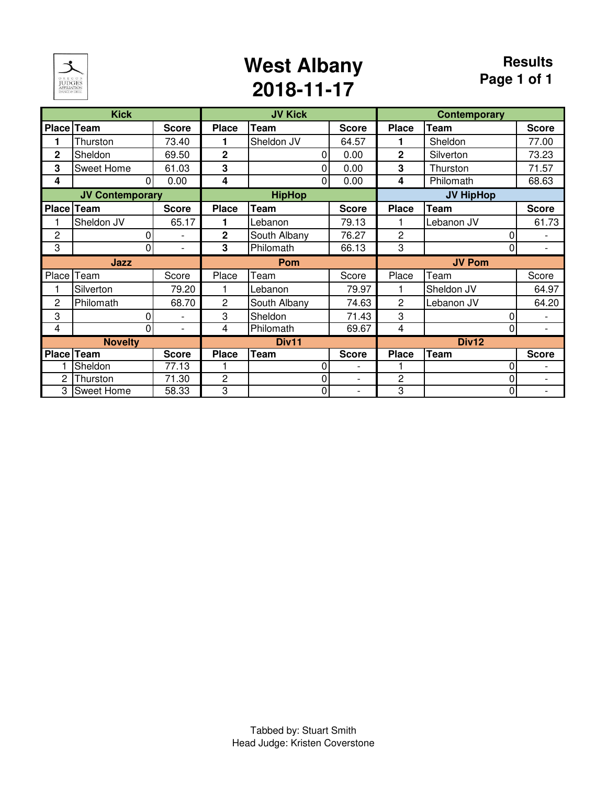

### **West Albany 2018-11-17**

|                | <b>Kick</b>            |                          |                | <b>JV Kick</b> |              |                | <b>Contemporary</b> |                          |
|----------------|------------------------|--------------------------|----------------|----------------|--------------|----------------|---------------------|--------------------------|
|                | Place Team             | <b>Score</b>             | <b>Place</b>   | <b>Team</b>    | <b>Score</b> | <b>Place</b>   | <b>Team</b>         | <b>Score</b>             |
|                | Thurston               | 73.40                    |                | Sheldon JV     | 64.57        |                | Sheldon             | 77.00                    |
| $\overline{2}$ | Sheldon                | 69.50                    | $\overline{2}$ | 0              | 0.00         | $\overline{2}$ | Silverton           | 73.23                    |
| 3              | Sweet Home             | 61.03                    | 3              | $\Omega$       | 0.00         | 3              | Thurston            | 71.57                    |
| 4              | $\Omega$               | 0.00                     | 4              | $\overline{0}$ | 0.00         | 4              | Philomath           | 68.63                    |
|                | <b>JV Contemporary</b> |                          |                | <b>HipHop</b>  |              |                | <b>JV HipHop</b>    |                          |
| Place          | <b>Team</b>            | <b>Score</b>             | <b>Place</b>   | <b>Team</b>    | <b>Score</b> | <b>Place</b>   | <b>Team</b>         | <b>Score</b>             |
|                | Sheldon JV             | 65.17                    | 1              | Lebanon        | 79.13        |                | Lebanon JV          | 61.73                    |
| 2              | 0                      | $\overline{\phantom{a}}$ | $\mathbf 2$    | South Albany   | 76.27        | $\overline{c}$ |                     |                          |
| 3              | 0                      | $\overline{\phantom{a}}$ | 3              | Philomath      | 66.13        | 3              | 0                   | $\overline{\phantom{a}}$ |
|                | Jazz                   |                          |                | Pom            |              |                | <b>JV Pom</b>       |                          |
|                | Place Team             | Score                    | Place          | Team           | Score        | Place          | Team                | Score                    |
|                | Silverton              | 79.20                    |                | Lebanon        | 79.97        |                | Sheldon JV          | 64.97                    |
| 2              | Philomath              | 68.70                    | 2              | South Albany   | 74.63        | $\overline{2}$ | Lebanon JV          | 64.20                    |
| 3              | 0                      |                          | 3              | Sheldon        | 71.43        | 3              | 0                   |                          |
| 4              | 0                      | $\blacksquare$           | 4              | Philomath      | 69.67        | 4              | 0                   | $\overline{\phantom{a}}$ |
|                | <b>Novelty</b>         |                          |                | Div11          |              |                | Div12               |                          |
|                | Place Team             | <b>Score</b>             | <b>Place</b>   | Team           | <b>Score</b> | <b>Place</b>   | <b>Team</b>         | <b>Score</b>             |
|                | Sheldon                | 77.13                    |                | 0              |              |                |                     |                          |
| 2              | Thurston               | 71.30                    | $\overline{c}$ | 0              | L,           | $\overline{c}$ |                     | $\overline{a}$           |
| 3              | <b>Sweet Home</b>      | 58.33                    | 3              | 0              |              | 3              | 0                   | -                        |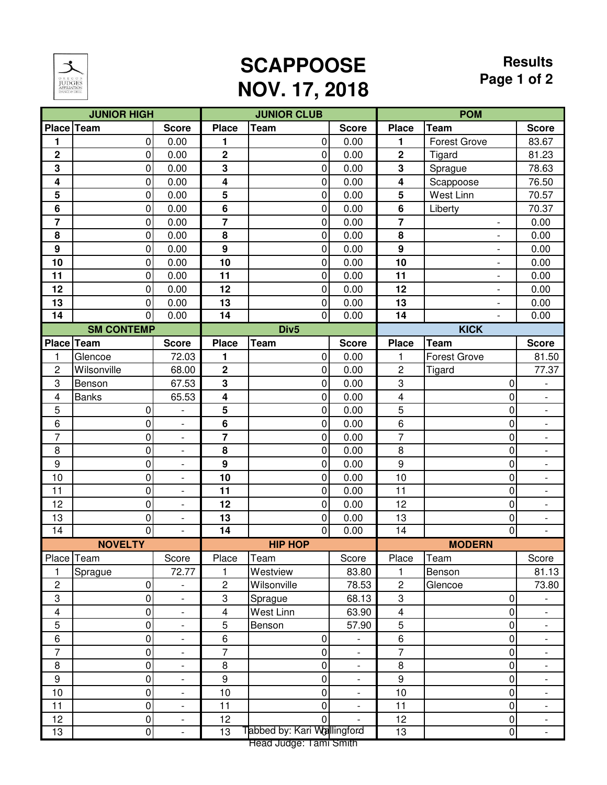

# **SCAPPOOSE NOV. 17, 2018**

#### **Results Page 1 of 2**

|                         | <b>JUNIOR HIGH</b>       |                          |                         | <b>JUNIOR CLUB</b>          |                              |                            | <b>POM</b>                       |                          |
|-------------------------|--------------------------|--------------------------|-------------------------|-----------------------------|------------------------------|----------------------------|----------------------------------|--------------------------|
|                         | Place Team               | <b>Score</b>             | <b>Place</b>            | Team                        | <b>Score</b>                 | <b>Place</b>               | <b>Team</b>                      | <b>Score</b>             |
| 1                       | 0                        | 0.00                     | 1                       | 0                           | 0.00                         | 1                          | <b>Forest Grove</b>              | 83.67                    |
| $\overline{\mathbf{2}}$ | 0                        | 0.00                     | $\overline{\mathbf{2}}$ | $\overline{0}$              | 0.00                         | $\overline{\mathbf{2}}$    | Tigard                           | 81.23                    |
| $\mathbf{3}$            | $\boldsymbol{0}$         | 0.00                     | 3                       | $\overline{0}$              | 0.00                         | 3                          | Sprague                          | 78.63                    |
| 4                       | 0                        | 0.00                     | 4                       | $\overline{0}$              | 0.00                         | 4                          | Scappoose                        | 76.50                    |
| 5                       | $\boldsymbol{0}$         | 0.00                     | $5\phantom{1}$          | $\overline{0}$              | 0.00                         | 5                          | West Linn                        | 70.57                    |
| $6\phantom{1}6$         | 0                        | 0.00                     | 6                       | 0                           | 0.00                         | 6                          | Liberty                          | 70.37                    |
| $\overline{7}$          | $\mathbf 0$              | 0.00                     | 7                       | $\overline{0}$              | 0.00                         | $\overline{\mathbf{r}}$    | $\overline{\phantom{a}}$         | 0.00                     |
| 8                       | 0                        | 0.00                     | 8                       | $\overline{0}$              | 0.00                         | 8                          | $\overline{a}$                   | 0.00                     |
| $\boldsymbol{9}$        | 0                        | 0.00                     | $\boldsymbol{9}$        | $\overline{0}$              | 0.00                         | $\mathbf{9}$               | $\overline{\phantom{a}}$         | 0.00                     |
| 10                      | $\boldsymbol{0}$         | 0.00                     | 10                      | $\overline{0}$              | 0.00                         | 10                         | $\overline{\phantom{0}}$         | 0.00                     |
| 11                      | $\boldsymbol{0}$         | 0.00                     | 11                      | $\overline{0}$              | 0.00                         | 11                         | $\overline{a}$                   | 0.00                     |
| 12                      | 0                        | 0.00                     | 12                      | $\overline{0}$              | 0.00                         | 12                         | -                                | 0.00                     |
| 13                      | 0                        | 0.00                     | 13                      | $\overline{0}$              | 0.00                         | 13                         | $\overline{a}$                   | 0.00                     |
| 14                      | $\mathbf 0$              | 0.00                     | 14                      | $\overline{0}$              | 0.00                         | 14                         | $\overline{a}$                   | 0.00                     |
|                         | <b>SM CONTEMP</b>        |                          |                         | Div <sub>5</sub>            |                              |                            | <b>KICK</b>                      |                          |
|                         | Place Team               | <b>Score</b>             | <b>Place</b>            | <b>Team</b>                 | <b>Score</b>                 | <b>Place</b>               | <b>Team</b>                      | <b>Score</b>             |
| $\mathbf{1}$            | Glencoe                  | 72.03                    | 1                       | $\overline{0}$              | 0.00                         | 1                          | <b>Forest Grove</b>              | 81.50                    |
| $\overline{c}$          | Wilsonville              | 68.00                    | $\overline{\mathbf{2}}$ | $\overline{0}$              | 0.00                         | 2                          | Tigard                           | 77.37                    |
| 3                       | Benson                   | 67.53                    | $\mathbf 3$             | $\overline{0}$              | 0.00                         | $\sqrt{3}$                 | 0                                |                          |
| $\overline{\mathbf{4}}$ | <b>Banks</b>             | 65.53                    | 4                       | $\overline{0}$              | 0.00                         | 4                          | 0                                | -                        |
| 5                       | 0                        | $\overline{a}$           | 5                       | $\overline{0}$              | 0.00                         | 5                          | 0                                | $\overline{\phantom{0}}$ |
| 6                       | $\mathbf 0$              | $\overline{\phantom{a}}$ | 6                       | $\overline{0}$              | 0.00                         | 6                          | 0                                | $\overline{\phantom{a}}$ |
| $\overline{7}$          | $\mathbf 0$              | $\overline{\phantom{a}}$ | 7                       | $\overline{0}$              | 0.00                         | $\overline{7}$             | 0                                | $\overline{\phantom{0}}$ |
| 8                       | 0                        | $\overline{\phantom{a}}$ | 8                       | $\overline{0}$              | 0.00                         | 8                          | 0                                | $\overline{\phantom{a}}$ |
| $\boldsymbol{9}$        | 0                        | $\overline{\phantom{0}}$ | 9                       | $\pmb{0}$                   | 0.00                         | $\boldsymbol{9}$           | 0                                | $\overline{\phantom{0}}$ |
| 10                      | $\mathbf 0$              | $\overline{\phantom{0}}$ | 10                      | $\overline{0}$              | 0.00                         | 10                         | 0                                | $\overline{\phantom{0}}$ |
| 11                      | 0                        | $\overline{a}$           | 11                      | $\overline{0}$              | 0.00                         | 11                         | 0                                | $\overline{\phantom{0}}$ |
| 12                      | $\mathbf 0$              | $\overline{\phantom{a}}$ | 12                      | $\overline{0}$              | 0.00                         | 12                         | 0                                | $\overline{\phantom{a}}$ |
| 13                      | 0                        | $\overline{\phantom{a}}$ | 13                      | 0                           | 0.00                         | 13                         | 0                                | $\overline{\phantom{0}}$ |
| 14                      | $\overline{0}$           | $\overline{a}$           | $\overline{14}$         | $\overline{0}$              | 0.00                         | $\overline{14}$            | $\overline{0}$                   | $\mathbb{L}$             |
|                         | <b>NOVELTY</b>           |                          |                         | <b>HIP HOP</b>              |                              |                            | <b>MODERN</b>                    |                          |
|                         | Place   Team             | Score                    | Place                   | Team                        | Score                        | Place                      | Team                             | Score                    |
| $\mathbf{1}$            | Sprague                  | 72.77                    | 1                       | Westview                    | 83.80                        | 1                          | Benson                           | 81.13                    |
| $\overline{c}$          | 0                        | $\overline{\phantom{0}}$ | $\overline{c}$          | Wilsonville                 | 78.53                        | $\overline{c}$             | Glencoe                          | 73.80                    |
| $\sqrt{3}$              | $\mathbf 0$              | $\overline{\phantom{a}}$ | $\boldsymbol{3}$        | Sprague                     | 68.13                        | $\,3$                      | 0                                |                          |
| $\overline{4}$          | $\mathbf 0$              | $\overline{\phantom{a}}$ | 4                       | West Linn                   | 63.90                        | $\overline{\mathbf{4}}$    | 0                                | $\overline{\phantom{0}}$ |
| 5                       | $\mathbf 0$              | $\overline{\phantom{0}}$ | 5                       | Benson                      | 57.90                        | 5                          | 0                                | $\overline{\phantom{0}}$ |
| $\,6$                   | $\pmb{0}$                | $\overline{\phantom{0}}$ | 6                       | 0                           |                              | $\,6$                      | 0                                | $\qquad \qquad -$        |
| $\overline{7}$          | $\mathbf 0$              | $\overline{\phantom{a}}$ | $\overline{7}$          | 0                           | $\qquad \qquad \blacksquare$ | $\overline{7}$             | 0                                | -                        |
| $\, 8$                  | $\pmb{0}$                | $\overline{\phantom{0}}$ | $\, 8$                  | $\pmb{0}$                   | $\blacksquare$               | $\, 8$<br>$\boldsymbol{9}$ | $\overline{0}$                   | $\overline{\phantom{0}}$ |
| $\boldsymbol{9}$        | $\mathbf 0$              | $\overline{\phantom{a}}$ | $\boldsymbol{9}$        | $\pmb{0}$                   |                              |                            | 0                                | Ξ.                       |
| $10$                    | $\pmb{0}$                | $\overline{\phantom{a}}$ | 10                      | $\overline{0}$              | $\overline{\phantom{a}}$     | $10$<br>11                 | $\overline{0}$                   | $\overline{\phantom{a}}$ |
| 11<br>12                | $\mathbf 0$              | $\overline{\phantom{a}}$ | 11<br>12                | $\pmb{0}$<br>$\Omega$       | $\overline{\phantom{a}}$     | 12                         | $\overline{0}$                   | ۳                        |
| 13                      | $\pmb{0}$<br>$\mathbf 0$ | $\overline{\phantom{0}}$ | 13                      | Tabbed by: Kari Wallingford |                              | 13                         | $\overline{0}$<br>$\overline{0}$ | $\overline{\phantom{0}}$ |
|                         |                          | $\overline{\phantom{0}}$ |                         | Head Judge: Lami Smith      |                              |                            |                                  | $\blacksquare$           |

Head Judge: I ami Smith